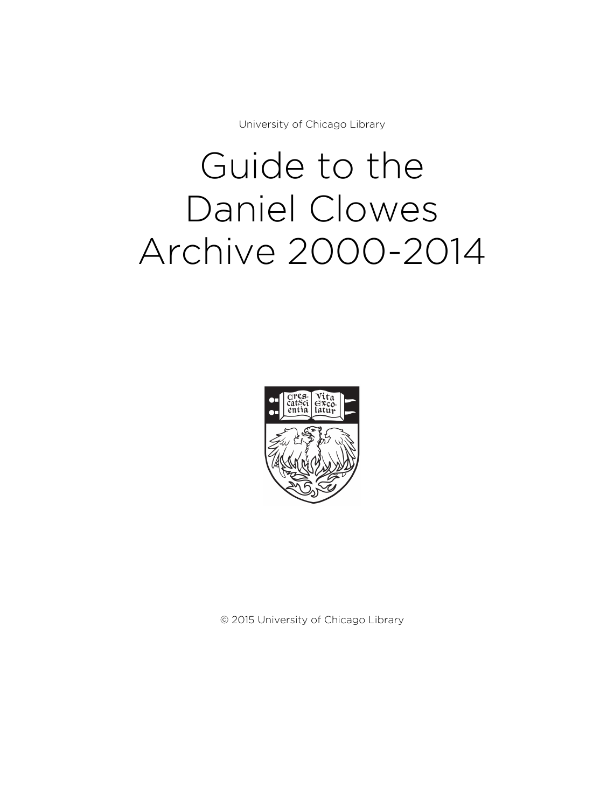University of Chicago Library

# Guide to the Daniel Clowes Archive 2000-2014



© 2015 University of Chicago Library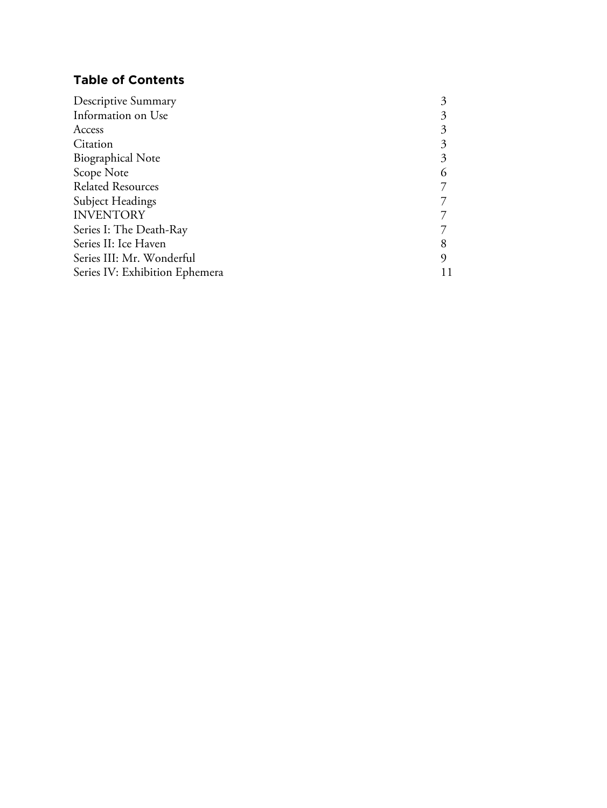# **Table of Contents**

| Descriptive Summary            |   |
|--------------------------------|---|
| Information on Use             | 3 |
| Access                         | 3 |
| Citation                       | 3 |
| <b>Biographical Note</b>       | 3 |
| Scope Note                     | 6 |
| <b>Related Resources</b>       |   |
| Subject Headings               |   |
| <b>INVENTORY</b>               |   |
| Series I: The Death-Ray        |   |
| Series II: Ice Haven           | 8 |
| Series III: Mr. Wonderful      | 9 |
| Series IV: Exhibition Ephemera |   |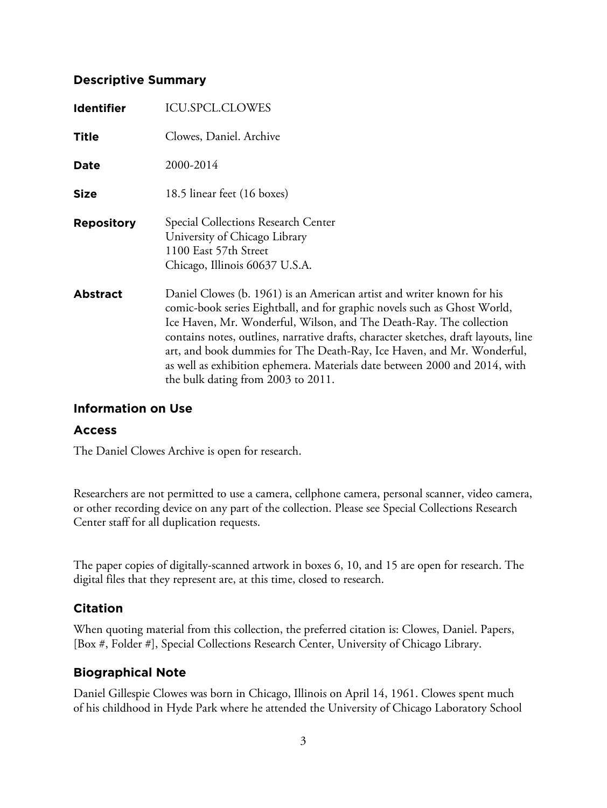# **Descriptive Summary**

| <b>Identifier</b> | <b>ICU.SPCL.CLOWES</b>                                                                                                                                                                                                                                                                                                                                                                                                                                                                                         |
|-------------------|----------------------------------------------------------------------------------------------------------------------------------------------------------------------------------------------------------------------------------------------------------------------------------------------------------------------------------------------------------------------------------------------------------------------------------------------------------------------------------------------------------------|
| <b>Title</b>      | Clowes, Daniel. Archive                                                                                                                                                                                                                                                                                                                                                                                                                                                                                        |
| Date              | 2000-2014                                                                                                                                                                                                                                                                                                                                                                                                                                                                                                      |
| <b>Size</b>       | 18.5 linear feet (16 boxes)                                                                                                                                                                                                                                                                                                                                                                                                                                                                                    |
| <b>Repository</b> | Special Collections Research Center<br>University of Chicago Library<br>1100 East 57th Street<br>Chicago, Illinois 60637 U.S.A.                                                                                                                                                                                                                                                                                                                                                                                |
| <b>Abstract</b>   | Daniel Clowes (b. 1961) is an American artist and writer known for his<br>comic-book series Eightball, and for graphic novels such as Ghost World,<br>Ice Haven, Mr. Wonderful, Wilson, and The Death-Ray. The collection<br>contains notes, outlines, narrative drafts, character sketches, draft layouts, line<br>art, and book dummies for The Death-Ray, Ice Haven, and Mr. Wonderful,<br>as well as exhibition ephemera. Materials date between 2000 and 2014, with<br>the bulk dating from 2003 to 2011. |

# **Information on Use**

#### **Access**

The Daniel Clowes Archive is open for research.

Researchers are not permitted to use a camera, cellphone camera, personal scanner, video camera, or other recording device on any part of the collection. Please see Special Collections Research Center staff for all duplication requests.

The paper copies of digitally-scanned artwork in boxes 6, 10, and 15 are open for research. The digital files that they represent are, at this time, closed to research.

# **Citation**

When quoting material from this collection, the preferred citation is: Clowes, Daniel. Papers, [Box #, Folder #], Special Collections Research Center, University of Chicago Library.

# **Biographical Note**

Daniel Gillespie Clowes was born in Chicago, Illinois on April 14, 1961. Clowes spent much of his childhood in Hyde Park where he attended the University of Chicago Laboratory School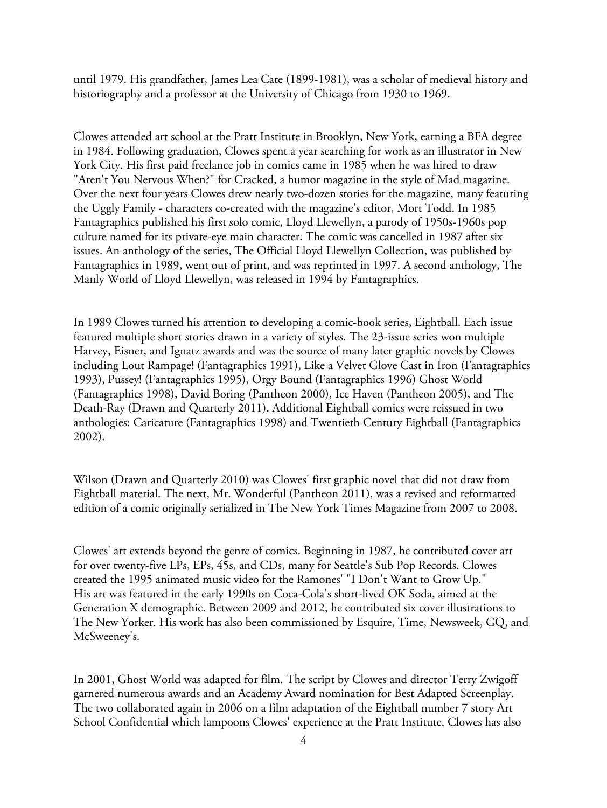until 1979. His grandfather, James Lea Cate (1899-1981), was a scholar of medieval history and historiography and a professor at the University of Chicago from 1930 to 1969.

Clowes attended art school at the Pratt Institute in Brooklyn, New York, earning a BFA degree in 1984. Following graduation, Clowes spent a year searching for work as an illustrator in New York City. His first paid freelance job in comics came in 1985 when he was hired to draw "Aren't You Nervous When?" for Cracked, a humor magazine in the style of Mad magazine. Over the next four years Clowes drew nearly two-dozen stories for the magazine, many featuring the Uggly Family - characters co-created with the magazine's editor, Mort Todd. In 1985 Fantagraphics published his first solo comic, Lloyd Llewellyn, a parody of 1950s-1960s pop culture named for its private-eye main character. The comic was cancelled in 1987 after six issues. An anthology of the series, The Official Lloyd Llewellyn Collection, was published by Fantagraphics in 1989, went out of print, and was reprinted in 1997. A second anthology, The Manly World of Lloyd Llewellyn, was released in 1994 by Fantagraphics.

In 1989 Clowes turned his attention to developing a comic-book series, Eightball. Each issue featured multiple short stories drawn in a variety of styles. The 23-issue series won multiple Harvey, Eisner, and Ignatz awards and was the source of many later graphic novels by Clowes including Lout Rampage! (Fantagraphics 1991), Like a Velvet Glove Cast in Iron (Fantagraphics 1993), Pussey! (Fantagraphics 1995), Orgy Bound (Fantagraphics 1996) Ghost World (Fantagraphics 1998), David Boring (Pantheon 2000), Ice Haven (Pantheon 2005), and The Death-Ray (Drawn and Quarterly 2011). Additional Eightball comics were reissued in two anthologies: Caricature (Fantagraphics 1998) and Twentieth Century Eightball (Fantagraphics 2002).

Wilson (Drawn and Quarterly 2010) was Clowes' first graphic novel that did not draw from Eightball material. The next, Mr. Wonderful (Pantheon 2011), was a revised and reformatted edition of a comic originally serialized in The New York Times Magazine from 2007 to 2008.

Clowes' art extends beyond the genre of comics. Beginning in 1987, he contributed cover art for over twenty-five LPs, EPs, 45s, and CDs, many for Seattle's Sub Pop Records. Clowes created the 1995 animated music video for the Ramones' "I Don't Want to Grow Up." His art was featured in the early 1990s on Coca-Cola's short-lived OK Soda, aimed at the Generation X demographic. Between 2009 and 2012, he contributed six cover illustrations to The New Yorker. His work has also been commissioned by Esquire, Time, Newsweek, GQ, and McSweeney's.

In 2001, Ghost World was adapted for film. The script by Clowes and director Terry Zwigoff garnered numerous awards and an Academy Award nomination for Best Adapted Screenplay. The two collaborated again in 2006 on a film adaptation of the Eightball number 7 story Art School Confidential which lampoons Clowes' experience at the Pratt Institute. Clowes has also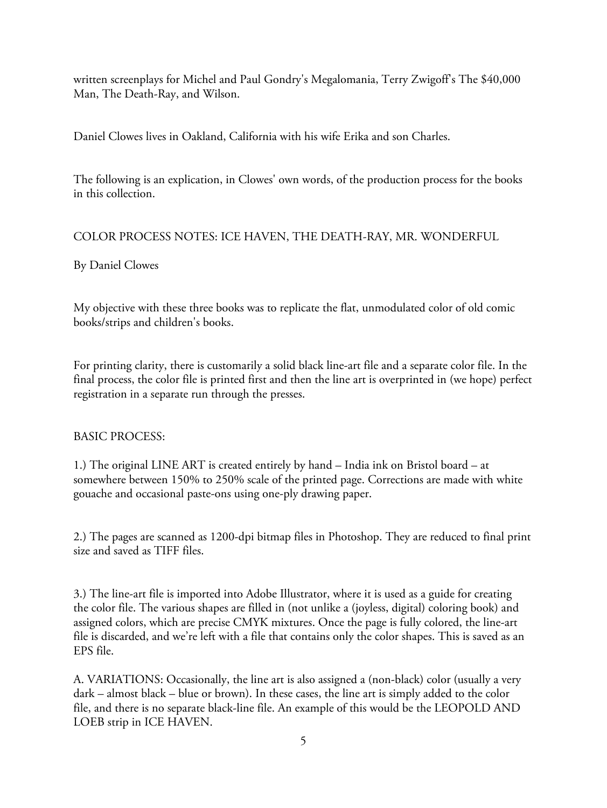written screenplays for Michel and Paul Gondry's Megalomania, Terry Zwigoff's The \$40,000 Man, The Death-Ray, and Wilson.

Daniel Clowes lives in Oakland, California with his wife Erika and son Charles.

The following is an explication, in Clowes' own words, of the production process for the books in this collection.

# COLOR PROCESS NOTES: ICE HAVEN, THE DEATH-RAY, MR. WONDERFUL

# By Daniel Clowes

My objective with these three books was to replicate the flat, unmodulated color of old comic books/strips and children's books.

For printing clarity, there is customarily a solid black line-art file and a separate color file. In the final process, the color file is printed first and then the line art is overprinted in (we hope) perfect registration in a separate run through the presses.

# BASIC PROCESS:

1.) The original LINE ART is created entirely by hand – India ink on Bristol board – at somewhere between 150% to 250% scale of the printed page. Corrections are made with white gouache and occasional paste-ons using one-ply drawing paper.

2.) The pages are scanned as 1200-dpi bitmap files in Photoshop. They are reduced to final print size and saved as TIFF files.

3.) The line-art file is imported into Adobe Illustrator, where it is used as a guide for creating the color file. The various shapes are filled in (not unlike a (joyless, digital) coloring book) and assigned colors, which are precise CMYK mixtures. Once the page is fully colored, the line-art file is discarded, and we're left with a file that contains only the color shapes. This is saved as an EPS file.

A. VARIATIONS: Occasionally, the line art is also assigned a (non-black) color (usually a very dark – almost black – blue or brown). In these cases, the line art is simply added to the color file, and there is no separate black-line file. An example of this would be the LEOPOLD AND LOEB strip in ICE HAVEN.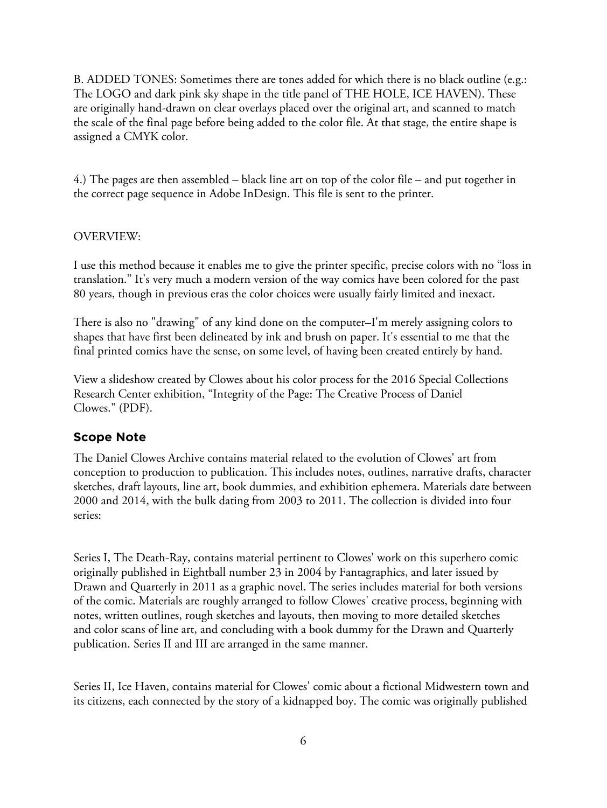B. ADDED TONES: Sometimes there are tones added for which there is no black outline (e.g.: The LOGO and dark pink sky shape in the title panel of THE HOLE, ICE HAVEN). These are originally hand-drawn on clear overlays placed over the original art, and scanned to match the scale of the final page before being added to the color file. At that stage, the entire shape is assigned a CMYK color.

4.) The pages are then assembled – black line art on top of the color file – and put together in the correct page sequence in Adobe InDesign. This file is sent to the printer.

# OVERVIEW:

I use this method because it enables me to give the printer specific, precise colors with no "loss in translation." It's very much a modern version of the way comics have been colored for the past 80 years, though in previous eras the color choices were usually fairly limited and inexact.

There is also no "drawing" of any kind done on the computer–I'm merely assigning colors to shapes that have first been delineated by ink and brush on paper. It's essential to me that the final printed comics have the sense, on some level, of having been created entirely by hand.

View a slideshow created by Clowes about his color process for the 2016 Special Collections Research Center exhibition, "Integrity of the Page: The Creative Process of Daniel Clowes." (PDF).

# **Scope Note**

The Daniel Clowes Archive contains material related to the evolution of Clowes' art from conception to production to publication. This includes notes, outlines, narrative drafts, character sketches, draft layouts, line art, book dummies, and exhibition ephemera. Materials date between 2000 and 2014, with the bulk dating from 2003 to 2011. The collection is divided into four series:

Series I, The Death-Ray, contains material pertinent to Clowes' work on this superhero comic originally published in Eightball number 23 in 2004 by Fantagraphics, and later issued by Drawn and Quarterly in 2011 as a graphic novel. The series includes material for both versions of the comic. Materials are roughly arranged to follow Clowes' creative process, beginning with notes, written outlines, rough sketches and layouts, then moving to more detailed sketches and color scans of line art, and concluding with a book dummy for the Drawn and Quarterly publication. Series II and III are arranged in the same manner.

Series II, Ice Haven, contains material for Clowes' comic about a fictional Midwestern town and its citizens, each connected by the story of a kidnapped boy. The comic was originally published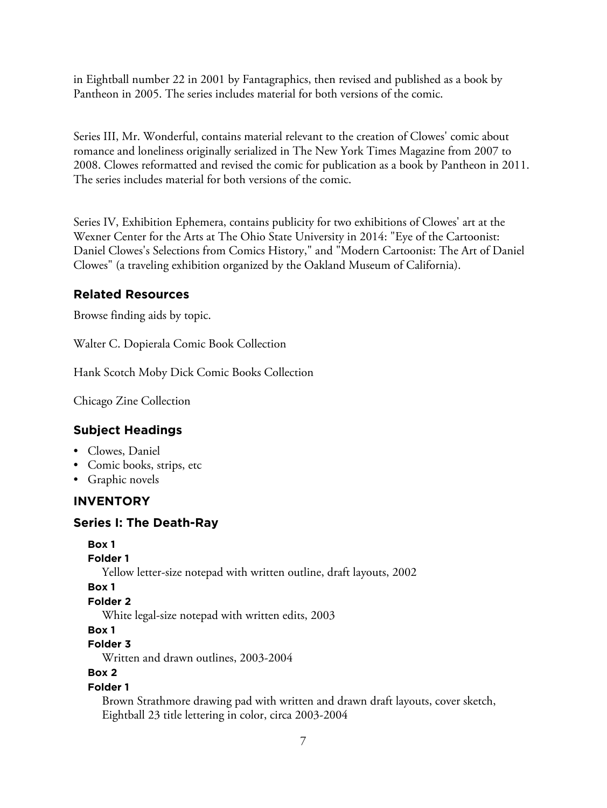in Eightball number 22 in 2001 by Fantagraphics, then revised and published as a book by Pantheon in 2005. The series includes material for both versions of the comic.

Series III, Mr. Wonderful, contains material relevant to the creation of Clowes' comic about romance and loneliness originally serialized in The New York Times Magazine from 2007 to 2008. Clowes reformatted and revised the comic for publication as a book by Pantheon in 2011. The series includes material for both versions of the comic.

Series IV, Exhibition Ephemera, contains publicity for two exhibitions of Clowes' art at the Wexner Center for the Arts at The Ohio State University in 2014: "Eye of the Cartoonist: Daniel Clowes's Selections from Comics History," and "Modern Cartoonist: The Art of Daniel Clowes" (a traveling exhibition organized by the Oakland Museum of California).

# **Related Resources**

Browse finding aids by topic.

Walter C. Dopierala Comic Book Collection

Hank Scotch Moby Dick Comic Books Collection

Chicago Zine Collection

# **Subject Headings**

- Clowes, Daniel
- Comic books, strips, etc
- Graphic novels

#### **INVENTORY**

#### **Series I: The Death-Ray**

```
Box 1
```

```
Folder 1
```
Yellow letter-size notepad with written outline, draft layouts, 2002

**Box 1**

```
Folder 2
```
White legal-size notepad with written edits, 2003

**Box 1**

```
Folder 3
```
Written and drawn outlines, 2003-2004

```
Box 2
```
# **Folder 1**

Brown Strathmore drawing pad with written and drawn draft layouts, cover sketch, Eightball 23 title lettering in color, circa 2003-2004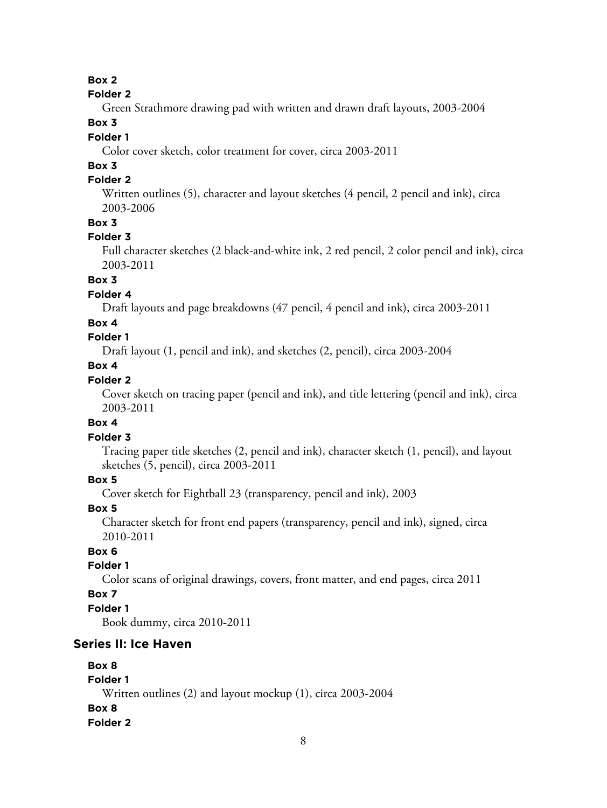# **Box 2**

#### **Folder 2**

Green Strathmore drawing pad with written and drawn draft layouts, 2003-2004

# **Box 3**

# **Folder 1**

Color cover sketch, color treatment for cover, circa 2003-2011

# **Box 3**

# **Folder 2**

Written outlines (5), character and layout sketches (4 pencil, 2 pencil and ink), circa 2003-2006

#### **Box 3**

#### **Folder 3**

Full character sketches (2 black-and-white ink, 2 red pencil, 2 color pencil and ink), circa 2003-2011

# **Box 3**

#### **Folder 4**

Draft layouts and page breakdowns (47 pencil, 4 pencil and ink), circa 2003-2011

#### **Box 4**

# **Folder 1**

Draft layout (1, pencil and ink), and sketches (2, pencil), circa 2003-2004

# **Box 4**

# **Folder 2**

Cover sketch on tracing paper (pencil and ink), and title lettering (pencil and ink), circa 2003-2011

# **Box 4**

#### **Folder 3**

Tracing paper title sketches (2, pencil and ink), character sketch (1, pencil), and layout sketches (5, pencil), circa 2003-2011

#### **Box 5**

Cover sketch for Eightball 23 (transparency, pencil and ink), 2003

#### **Box 5**

Character sketch for front end papers (transparency, pencil and ink), signed, circa 2010-2011

# **Box 6**

# **Folder 1**

Color scans of original drawings, covers, front matter, and end pages, circa 2011

#### **Box 7**

# **Folder 1**

Book dummy, circa 2010-2011

#### **Series II: Ice Haven**

#### **Box 8**

**Folder 1** Written outlines (2) and layout mockup (1), circa 2003-2004 **Box 8 Folder 2**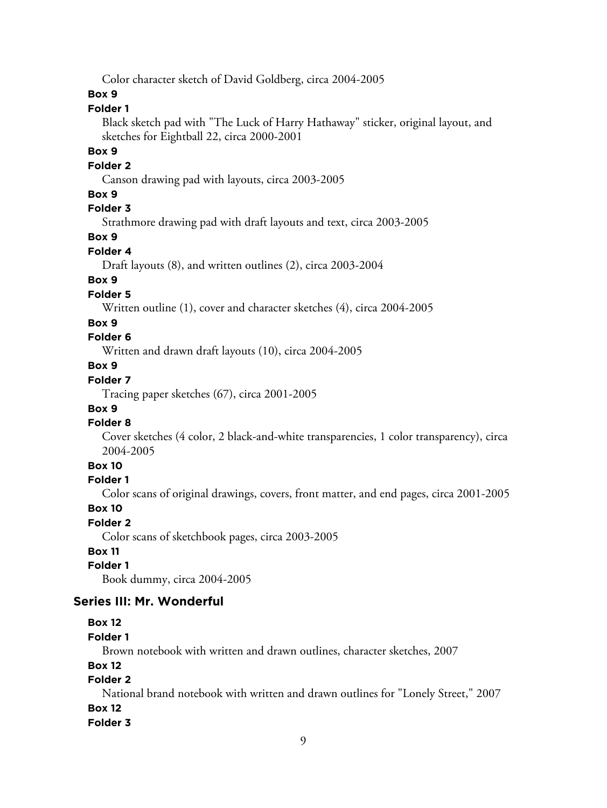Color character sketch of David Goldberg, circa 2004-2005

#### **Box 9**

#### **Folder 1**

Black sketch pad with "The Luck of Harry Hathaway" sticker, original layout, and sketches for Eightball 22, circa 2000-2001

#### **Box 9**

#### **Folder 2**

Canson drawing pad with layouts, circa 2003-2005

#### **Box 9**

# **Folder 3**

Strathmore drawing pad with draft layouts and text, circa 2003-2005

#### **Box 9**

#### **Folder 4**

Draft layouts (8), and written outlines (2), circa 2003-2004

# **Box 9**

#### **Folder 5**

Written outline (1), cover and character sketches (4), circa 2004-2005

#### **Box 9**

# **Folder 6**

Written and drawn draft layouts (10), circa 2004-2005

# **Box 9**

# **Folder 7**

Tracing paper sketches (67), circa 2001-2005

#### **Box 9**

#### **Folder 8**

Cover sketches (4 color, 2 black-and-white transparencies, 1 color transparency), circa 2004-2005

# **Box 10**

#### **Folder 1**

Color scans of original drawings, covers, front matter, and end pages, circa 2001-2005

#### **Box 10**

#### **Folder 2**

Color scans of sketchbook pages, circa 2003-2005

# **Box 11**

# **Folder 1**

Book dummy, circa 2004-2005

#### **Series III: Mr. Wonderful**

# **Box 12**

#### **Folder 1**

Brown notebook with written and drawn outlines, character sketches, 2007

#### **Box 12**

# **Folder 2**

National brand notebook with written and drawn outlines for "Lonely Street," 2007

# **Box 12**

#### **Folder 3**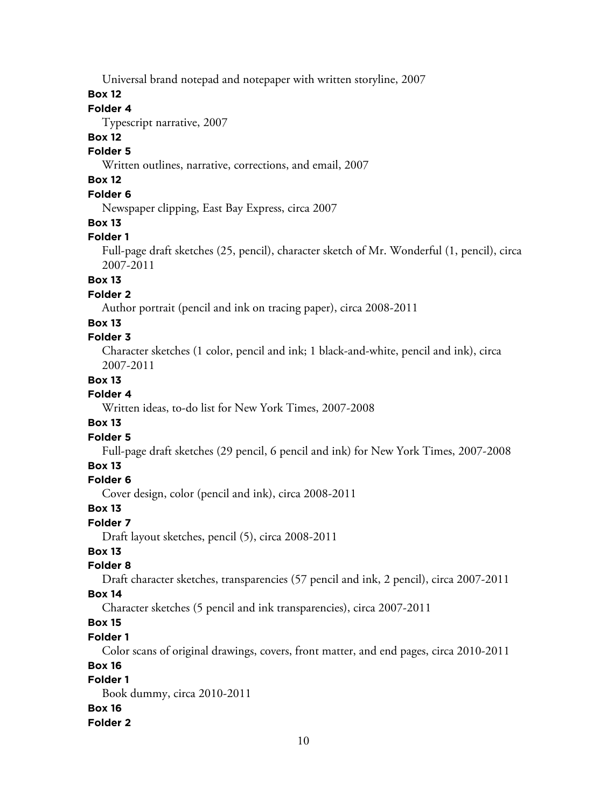Universal brand notepad and notepaper with written storyline, 2007

#### **Box 12**

# **Folder 4**

Typescript narrative, 2007

# **Box 12**

# **Folder 5**

Written outlines, narrative, corrections, and email, 2007

# **Box 12**

# **Folder 6**

Newspaper clipping, East Bay Express, circa 2007

#### **Box 13**

# **Folder 1**

Full-page draft sketches (25, pencil), character sketch of Mr. Wonderful (1, pencil), circa 2007-2011

# **Box 13**

#### **Folder 2**

Author portrait (pencil and ink on tracing paper), circa 2008-2011

# **Box 13**

# **Folder 3**

Character sketches (1 color, pencil and ink; 1 black-and-white, pencil and ink), circa 2007-2011

# **Box 13**

# **Folder 4**

Written ideas, to-do list for New York Times, 2007-2008

#### **Box 13**

#### **Folder 5**

Full-page draft sketches (29 pencil, 6 pencil and ink) for New York Times, 2007-2008

#### **Box 13**

# **Folder 6**

Cover design, color (pencil and ink), circa 2008-2011

#### **Box 13**

#### **Folder 7**

Draft layout sketches, pencil (5), circa 2008-2011

#### **Box 13**

#### **Folder 8**

Draft character sketches, transparencies (57 pencil and ink, 2 pencil), circa 2007-2011

#### **Box 14**

Character sketches (5 pencil and ink transparencies), circa 2007-2011

# **Box 15**

# **Folder 1**

Color scans of original drawings, covers, front matter, and end pages, circa 2010-2011

#### **Box 16**

# **Folder 1**

Book dummy, circa 2010-2011 **Box 16 Folder 2**